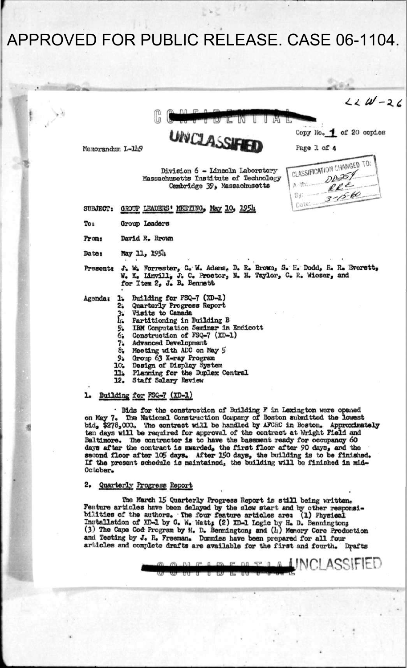## APPROVED FOR PUBLIC RELEASE, CASE 06-1104.

 $\alpha$  $224 - 26$ W τ w UNCLASSIFIE Copy No. 1 of 20 copies Memorandum L-149 Page 1 of 4 CLASSIFICATION CHANGED TO: Division 6 - Lincoln Laboratory  $DD 259$ Massachusetts Institute of Technology  $RE^{\mathcal{E}}$ Cambridge 39, Massachusetts  $3 - 15 - 60$ By: Date: SUBJECT: GROUP LEADERS' MEETING, May 10, 1954 Group Leaders To: David R. Brown From: **Date:** May 11, 1954 J. W. Forrester, C. W. Adams, D. R. Brown, S. H. Dodd, R. R. Everett, W. K. Linvill, J. C. Proctor, N. H. Taylor, C. R. Wieser, and for Item 2, J. B. Bennett Present: Building for FSQ-7 (XD-1)<br>Quarterly Progress Report<br>Visits to Canada Agendar  $1.$  $2.5$ з. 4. Partitioning in Building B  $\frac{5}{6}$ IBM Computation Seminar in Endicott Construction of FSQ-7 (XD-1)  $7.$ Advanced Development  $8^\circ$ Meeting with ADC on May 5 Group 63 X-ray Program<br>Design of Display System 9. 10. Planning for the Duplex Central<br>Staff Salary Review 11. 12. 1. Building for FSG-7 (XD-1) Bids for the construction of Building F in Lexington were opened. The National Construction Company of Boston submitted the lowest on May 7. bid, \$278,000. The contract will be handled by AFCRC in Boston. Approximately bin, \$270,000. The contract Will be handled by Arthur in Boston, approximate.<br>ten days will be required for approval of the contract at Wright Field and<br>Baltimore. The contractor is to have the basement ready for occupancy October. 2. Quarterly Progress Report

The March 15 Quarterly Progress Report is still being written. Feature articles have been delayed by the slow start and by other responsi-bilities of the authors. The four feature articles are: (1) Physical Dilities of the authors. Installation of XD-1 by C. W. Wett; (2) XD-1 Logic by H. D. Bennington; (3) The Cape Cod Program by H. D. Bennington; and (h) Memory Core Production<br>and Testing by J. R. Freeman. Dummies have been articles and complete drafts are available for the first and fourth. Drafts

 $A$  1  $T$   $M$   $T$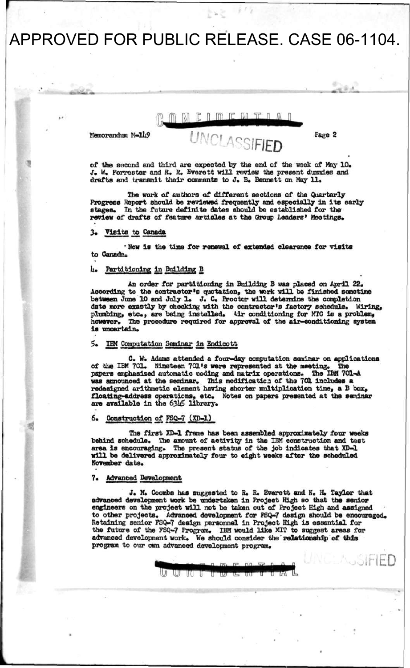## APPROVED FOR PUBLIC RELEASE. CASE 06-1104.

#### MELMEMTI  $\sqrt{2}$  $\mathbb{R}$

**UNCLASSIFIED** 

Memorandum M-149

Page 2

 $\Gamma$ l $\Gamma$ D

**of the socond and third are expected by the end of the week of May 10. J. W, Forrester and R. R. Everett will review the present dummies and**  drafts and transmit their comments to J. B. Bennett on May 11.

**The work of authors of different sections of the Quarterly Progress Report should be reviewed frequently and especially in its early**  In the future definite dates should be established for the review of drafts of feature articles at the Group Leaders' Meetings.

### **3« Visits to Canada**

**\* Row is the time for renewal of extended clearance for visits**  to Canada.

### **h" Partitioning in Building 13**

An order for partitioning in Building B was placed on April 22. **According to the contractor's quotation, the work will be finished sometime between June 10 and July 1\* J. C\* Proctor will determine the completion date more exactly by checking with the contractor's factory schedule\* Wiring,**  plumbing, etc., are being installed. Air conditioning for MTC is a problem, however. The procedure required for approval of the air-conditioning system The procedure required for approval of the air-conditioning system is uncertain.

### **5. IBM Computation Seminar in Endlcott**

**C. W. Adams attended a four-day computation seminar on applications Nineteen 701.'s were represented at the meeting.** papers emphasized automatic coding and matrix operations. The IBM 701-A **was announced at the seminar. This modificatic.i of tha 701 includes a**  redesigned arithmetic element having shorter multiplication time, a B box, floating-address operations, etc. Notes on papers presented at the seminar are available in the 6345 library.

### **6. Cons traction of FSQ-7 (XB-l)**

**The first XD-1 frame has been assembled approximately four weeks**  behind schedule. The amount of activity in the IBM construction and test **area Is encouraging. The present status of the job indicates that XD-1 will be delivered approximately four to eight weeks after the scheduled November** date.

### **7\* Advanced Development**

**J. M. Coombs has suggested to R. R. Everett and N. H. Taylor that advanced development work be undertaken in Project High so that the senior engineers on the project will not be taken out of Project High and assigned**  to other projects. Advanced development for FSQ-7 design should be encouraged. **Retaining senior FSQ-7 design personnel in Project High is essential for**  the future of the FSQ-7 Program. IBM would like MIT to suggest areas for advanced development work. We should consider the relationship of this **program to our own advanced development program.** 

UU GU UU M

WT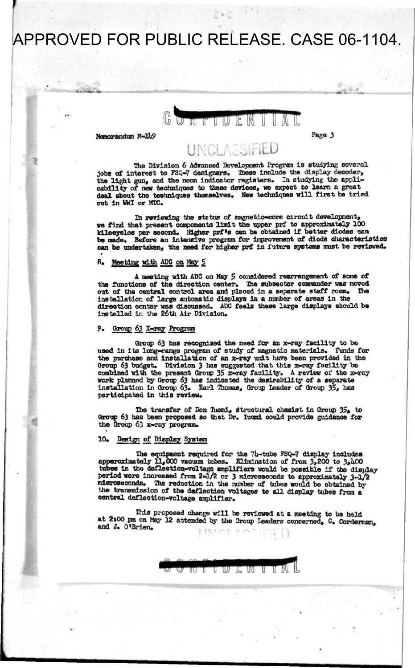# APPROVED FOR PUBLIC RELEASE. CASE 06-1104.

**«™w » i —— — ii ,** 



**Memorandum M-1U9**

**Page 3** 

### **UNCLASSIFIED**

**The Division 6 Advanced Development Program is studying several jobs of interest to FSQ-7 designers. These include the display decoder, the light gun, and the neon indicator registers. In studying the applicability of new techniques to these devices, we expect to learn a great deal about the techniques themselves. New techniques will first be tried out in WWI or MTC.** 

In reviewing the stetus of magnetic-core circuit development. **we find that present components limit the upper prf to approximately 100 kilocycles per second. Higher prf \*s can be obtained if better diodes can**  be made. Before an intensive program for improvement of diode characteristics can be undertaken, the need for higher prf in future systems must be reviewed.

### **B. Meeting with ADC on May 5**

**A meeting with ADC on May 5 considered rearrangement of some of the functions of the direction center. The subsector commander was moved out of the central control area and placed in a separate staff room. The installation of large automatic displays in a number of areas in the direction center was discussed. ADC feels these large displays should be installed in the 26th Air Division.** 

### **9. Qronp 63, X-ray Program**

**Oroup 63 has recognized the need for an x-ray facility to be used in its long-range program of study of magnetic materials. Funds for the purchase and installation of an x-ray unit have been provided in the Oroup 63 budget. Division 3 has suggested that this x-ray facility be**  combined with the present Group 35 x-ray facility. A review of the x-ray **work planned by Group 63 has indicated the desirability of a separate installation in Group 63. Earl Thomas, Group Leader of Group 35, has participated in this review.** 

**The transfer of Don Tuomi, structural chemist in Group 35\* to Oroup 63 has been proposed so that Dr. Tuomi could provide guidance for the Group 63 x-ray program.** 

### **10. Design of Display System**

**The equipment required for the 7U-tube PSQ-7 display includes apparoximately 11,000 vacuum tubes. Elimination of from 3,200 to 3,hO0 tubes in the deflection-voltage amplifiers would be possible if the display period were increased from 2-1/2 or 3 microseconds to approximately 3-1/2 microseconds. The reduotion in the number of tabes would be obtained by the transmission of the deflection voltages to all display tubes from a central deflection-voltage amplifier.** 

**This proposed change will be reviewed at a meeting to be held**  at 2:00 pm on May 12 attended by the Group Leaders concerned, C. Corderman. **and J. O'Brien.** 

> Τ w π π ויוו

> > *mmm*

*I* I